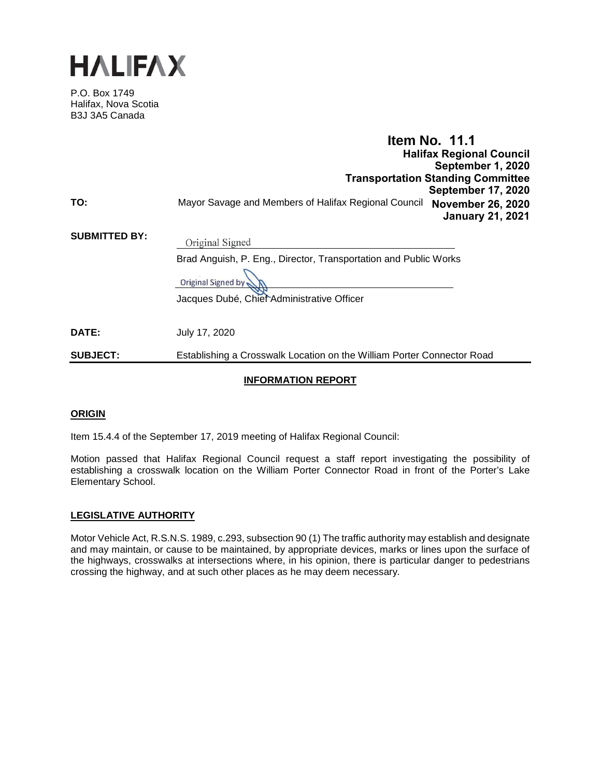

P.O. Box 1749 Halifax, Nova Scotia B3J 3A5 Canada

|                      | <b>Item No. 11.1</b><br><b>Halifax Regional Council</b><br>September 1, 2020<br><b>Transportation Standing Committee</b><br><b>September 17, 2020</b>   |
|----------------------|---------------------------------------------------------------------------------------------------------------------------------------------------------|
| TO:                  | Mayor Savage and Members of Halifax Regional Council<br><b>November 26, 2020</b><br><b>January 21, 2021</b>                                             |
| <b>SUBMITTED BY:</b> | Original Signed<br>Brad Anguish, P. Eng., Director, Transportation and Public Works<br>Original Signed by<br>Jacques Dubé, Chief Administrative Officer |
| <b>DATE:</b>         | July 17, 2020                                                                                                                                           |
| <b>SUBJECT:</b>      | Establishing a Crosswalk Location on the William Porter Connector Road                                                                                  |

#### **INFORMATION REPORT**

#### **ORIGIN**

Item 15.4.4 of the September 17, 2019 meeting of Halifax Regional Council:

Motion passed that Halifax Regional Council request a staff report investigating the possibility of establishing a crosswalk location on the William Porter Connector Road in front of the Porter's Lake Elementary School.

#### **LEGISLATIVE AUTHORITY**

Motor Vehicle Act, R.S.N.S. 1989, c.293, subsection 90 (1) The traffic authority may establish and designate and may maintain, or cause to be maintained, by appropriate devices, marks or lines upon the surface of the highways, crosswalks at intersections where, in his opinion, there is particular danger to pedestrians crossing the highway, and at such other places as he may deem necessary.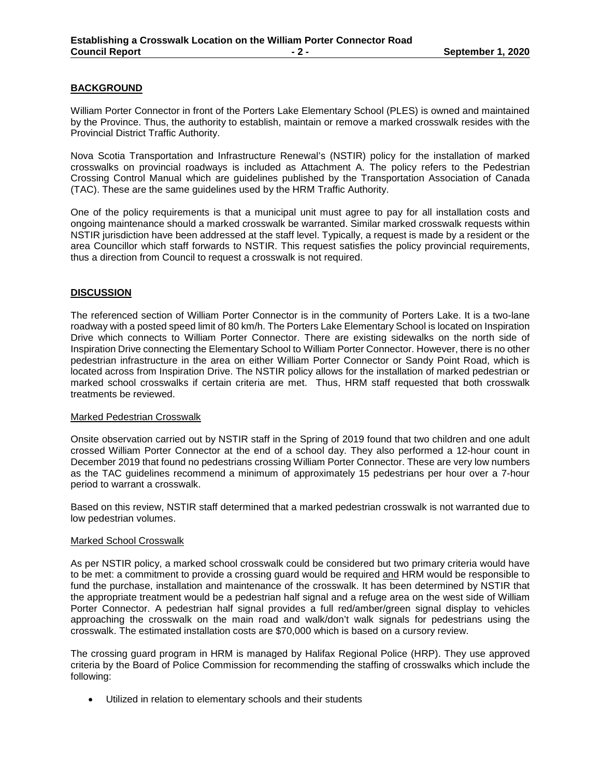#### **BACKGROUND**

William Porter Connector in front of the Porters Lake Elementary School (PLES) is owned and maintained by the Province. Thus, the authority to establish, maintain or remove a marked crosswalk resides with the Provincial District Traffic Authority.

Nova Scotia Transportation and Infrastructure Renewal's (NSTIR) policy for the installation of marked crosswalks on provincial roadways is included as Attachment A. The policy refers to the Pedestrian Crossing Control Manual which are guidelines published by the Transportation Association of Canada (TAC). These are the same guidelines used by the HRM Traffic Authority.

One of the policy requirements is that a municipal unit must agree to pay for all installation costs and ongoing maintenance should a marked crosswalk be warranted. Similar marked crosswalk requests within NSTIR jurisdiction have been addressed at the staff level. Typically, a request is made by a resident or the area Councillor which staff forwards to NSTIR. This request satisfies the policy provincial requirements, thus a direction from Council to request a crosswalk is not required.

#### **DISCUSSION**

The referenced section of William Porter Connector is in the community of Porters Lake. It is a two-lane roadway with a posted speed limit of 80 km/h. The Porters Lake Elementary School is located on Inspiration Drive which connects to William Porter Connector. There are existing sidewalks on the north side of Inspiration Drive connecting the Elementary School to William Porter Connector. However, there is no other pedestrian infrastructure in the area on either William Porter Connector or Sandy Point Road, which is located across from Inspiration Drive. The NSTIR policy allows for the installation of marked pedestrian or marked school crosswalks if certain criteria are met. Thus, HRM staff requested that both crosswalk treatments be reviewed.

#### Marked Pedestrian Crosswalk

Onsite observation carried out by NSTIR staff in the Spring of 2019 found that two children and one adult crossed William Porter Connector at the end of a school day. They also performed a 12-hour count in December 2019 that found no pedestrians crossing William Porter Connector. These are very low numbers as the TAC guidelines recommend a minimum of approximately 15 pedestrians per hour over a 7-hour period to warrant a crosswalk.

Based on this review, NSTIR staff determined that a marked pedestrian crosswalk is not warranted due to low pedestrian volumes.

#### Marked School Crosswalk

As per NSTIR policy, a marked school crosswalk could be considered but two primary criteria would have to be met: a commitment to provide a crossing guard would be required and HRM would be responsible to fund the purchase, installation and maintenance of the crosswalk. It has been determined by NSTIR that the appropriate treatment would be a pedestrian half signal and a refuge area on the west side of William Porter Connector. A pedestrian half signal provides a full red/amber/green signal display to vehicles approaching the crosswalk on the main road and walk/don't walk signals for pedestrians using the crosswalk. The estimated installation costs are \$70,000 which is based on a cursory review.

The crossing guard program in HRM is managed by Halifax Regional Police (HRP). They use approved criteria by the Board of Police Commission for recommending the staffing of crosswalks which include the following:

• Utilized in relation to elementary schools and their students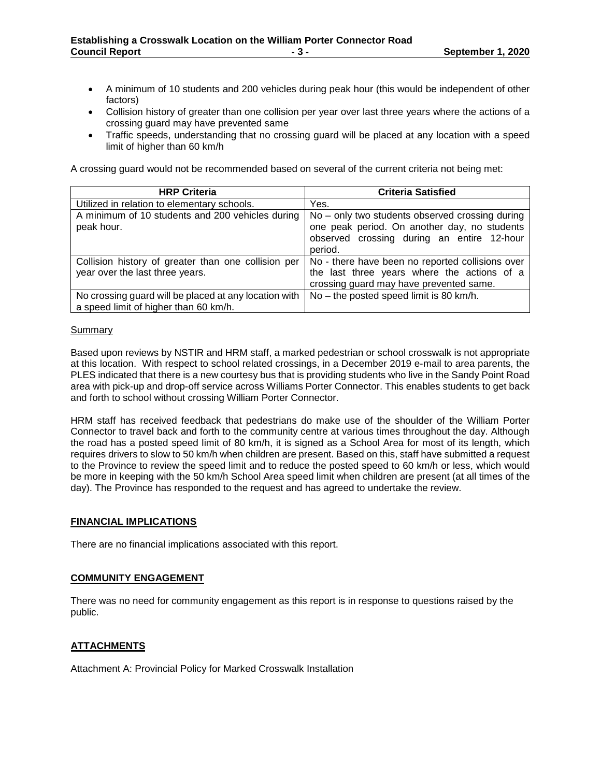- A minimum of 10 students and 200 vehicles during peak hour (this would be independent of other factors)
- Collision history of greater than one collision per year over last three years where the actions of a crossing guard may have prevented same
- Traffic speeds, understanding that no crossing guard will be placed at any location with a speed limit of higher than 60 km/h

A crossing guard would not be recommended based on several of the current criteria not being met:

| <b>HRP Criteria</b>                                                                            | <b>Criteria Satisfied</b>                                                                                                                                |  |  |
|------------------------------------------------------------------------------------------------|----------------------------------------------------------------------------------------------------------------------------------------------------------|--|--|
| Utilized in relation to elementary schools.                                                    | Yes.                                                                                                                                                     |  |  |
| A minimum of 10 students and 200 vehicles during<br>peak hour.                                 | No – only two students observed crossing during<br>one peak period. On another day, no students<br>observed crossing during an entire 12-hour<br>period. |  |  |
| Collision history of greater than one collision per<br>year over the last three years.         | No - there have been no reported collisions over<br>the last three years where the actions of a<br>crossing guard may have prevented same.               |  |  |
| No crossing guard will be placed at any location with<br>a speed limit of higher than 60 km/h. | No - the posted speed limit is 80 km/h.                                                                                                                  |  |  |

#### Summary

Based upon reviews by NSTIR and HRM staff, a marked pedestrian or school crosswalk is not appropriate at this location. With respect to school related crossings, in a December 2019 e-mail to area parents, the PLES indicated that there is a new courtesy bus that is providing students who live in the Sandy Point Road area with pick-up and drop-off service across Williams Porter Connector. This enables students to get back and forth to school without crossing William Porter Connector.

HRM staff has received feedback that pedestrians do make use of the shoulder of the William Porter Connector to travel back and forth to the community centre at various times throughout the day. Although the road has a posted speed limit of 80 km/h, it is signed as a School Area for most of its length, which requires drivers to slow to 50 km/h when children are present. Based on this, staff have submitted a request to the Province to review the speed limit and to reduce the posted speed to 60 km/h or less, which would be more in keeping with the 50 km/h School Area speed limit when children are present (at all times of the day). The Province has responded to the request and has agreed to undertake the review.

#### **FINANCIAL IMPLICATIONS**

There are no financial implications associated with this report.

#### **COMMUNITY ENGAGEMENT**

There was no need for community engagement as this report is in response to questions raised by the public.

#### **ATTACHMENTS**

Attachment A: Provincial Policy for Marked Crosswalk Installation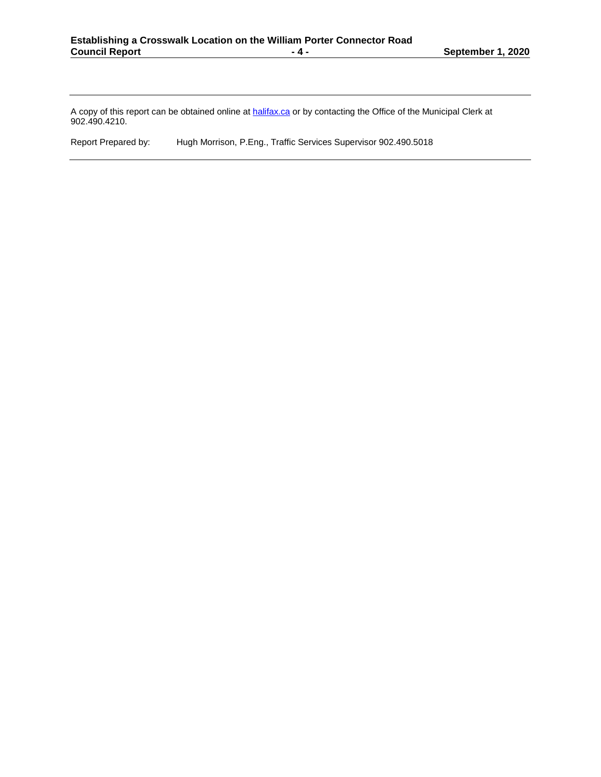A copy of this report can be obtained online at <u>halifax.ca</u> or by contacting the Office of the Municipal Clerk at 902.490.4210.

Report Prepared by: Hugh Morrison, P.Eng., Traffic Services Supervisor 902.490.5018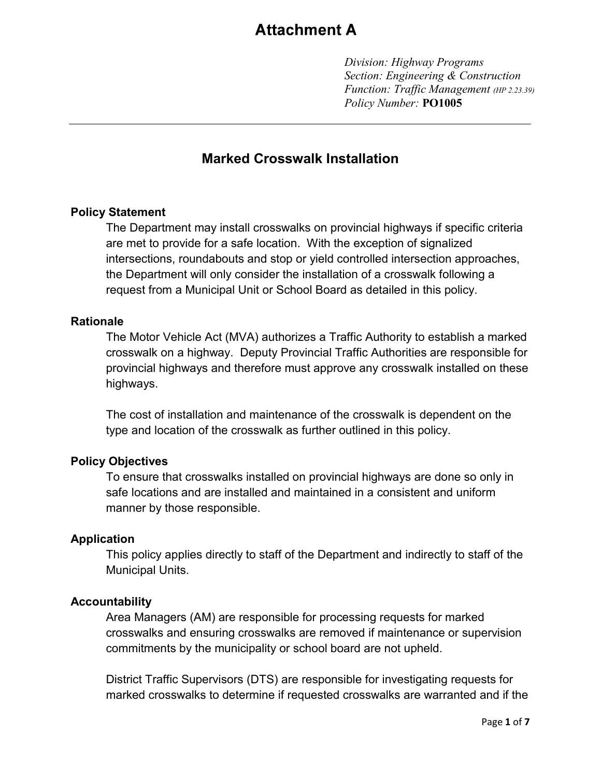# **Attachment A**

*Division: Highway Programs Section: Engineering & Construction Function: Traffic Management (HP 2.23.39) Policy Number:* **PO1005**

# **Marked Crosswalk Installation**

### **Policy Statement**

The Department may install crosswalks on provincial highways if specific criteria are met to provide for a safe location. With the exception of signalized intersections, roundabouts and stop or yield controlled intersection approaches, the Department will only consider the installation of a crosswalk following a request from a Municipal Unit or School Board as detailed in this policy.

### **Rationale**

The Motor Vehicle Act (MVA) authorizes a Traffic Authority to establish a marked crosswalk on a highway. Deputy Provincial Traffic Authorities are responsible for provincial highways and therefore must approve any crosswalk installed on these highways.

The cost of installation and maintenance of the crosswalk is dependent on the type and location of the crosswalk as further outlined in this policy.

### **Policy Objectives**

To ensure that crosswalks installed on provincial highways are done so only in safe locations and are installed and maintained in a consistent and uniform manner by those responsible.

### **Application**

This policy applies directly to staff of the Department and indirectly to staff of the Municipal Units.

### **Accountability**

Area Managers (AM) are responsible for processing requests for marked crosswalks and ensuring crosswalks are removed if maintenance or supervision commitments by the municipality or school board are not upheld.

District Traffic Supervisors (DTS) are responsible for investigating requests for marked crosswalks to determine if requested crosswalks are warranted and if the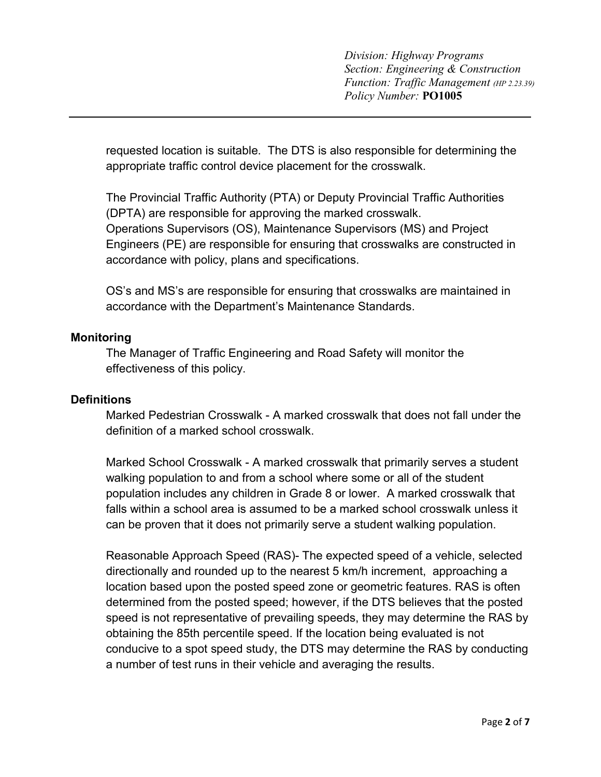requested location is suitable. The DTS is also responsible for determining the appropriate traffic control device placement for the crosswalk.

The Provincial Traffic Authority (PTA) or Deputy Provincial Traffic Authorities (DPTA) are responsible for approving the marked crosswalk. Operations Supervisors (OS), Maintenance Supervisors (MS) and Project Engineers (PE) are responsible for ensuring that crosswalks are constructed in accordance with policy, plans and specifications.

OS's and MS's are responsible for ensuring that crosswalks are maintained in accordance with the Department's Maintenance Standards.

### **Monitoring**

The Manager of Traffic Engineering and Road Safety will monitor the effectiveness of this policy.

### **Definitions**

Marked Pedestrian Crosswalk - A marked crosswalk that does not fall under the definition of a marked school crosswalk.

Marked School Crosswalk - A marked crosswalk that primarily serves a student walking population to and from a school where some or all of the student population includes any children in Grade 8 or lower. A marked crosswalk that falls within a school area is assumed to be a marked school crosswalk unless it can be proven that it does not primarily serve a student walking population.

Reasonable Approach Speed (RAS)- The expected speed of a vehicle, selected directionally and rounded up to the nearest 5 km/h increment, approaching a location based upon the posted speed zone or geometric features. RAS is often determined from the posted speed; however, if the DTS believes that the posted speed is not representative of prevailing speeds, they may determine the RAS by obtaining the 85th percentile speed. If the location being evaluated is not conducive to a spot speed study, the DTS may determine the RAS by conducting a number of test runs in their vehicle and averaging the results.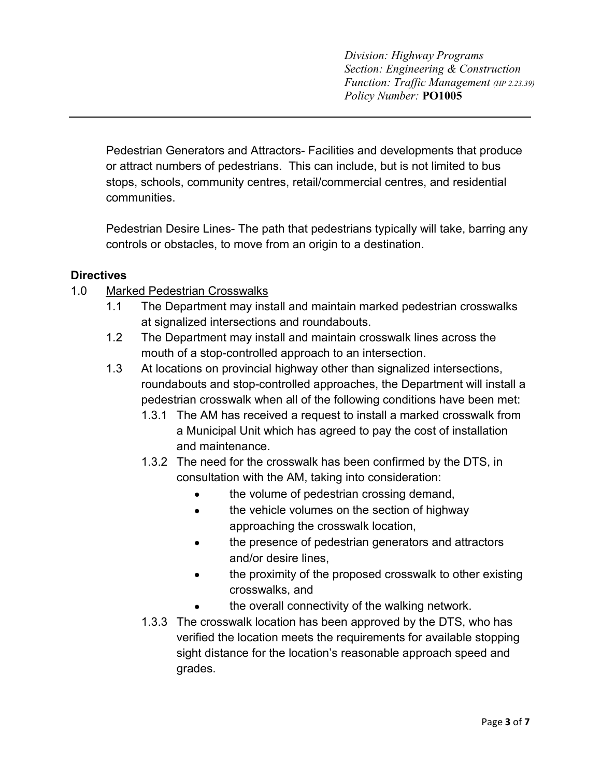*Division: Highway Programs Section: Engineering & Construction Function: Traffic Management (HP 2.23.39) Policy Number:* **PO1005**

Pedestrian Generators and Attractors- Facilities and developments that produce or attract numbers of pedestrians. This can include, but is not limited to bus stops, schools, community centres, retail/commercial centres, and residential communities.

Pedestrian Desire Lines- The path that pedestrians typically will take, barring any controls or obstacles, to move from an origin to a destination.

### **Directives**

### 1.0 Marked Pedestrian Crosswalks

- 1.1 The Department may install and maintain marked pedestrian crosswalks at signalized intersections and roundabouts.
- 1.2 The Department may install and maintain crosswalk lines across the mouth of a stop-controlled approach to an intersection.
- 1.3 At locations on provincial highway other than signalized intersections, roundabouts and stop-controlled approaches, the Department will install a pedestrian crosswalk when all of the following conditions have been met:
	- 1.3.1 The AM has received a request to install a marked crosswalk from a Municipal Unit which has agreed to pay the cost of installation and maintenance.
	- 1.3.2 The need for the crosswalk has been confirmed by the DTS, in consultation with the AM, taking into consideration:
		- the volume of pedestrian crossing demand,  $\bullet$
		- the vehicle volumes on the section of highway  $\bullet$ approaching the crosswalk location,
		- the presence of pedestrian generators and attractors  $\bullet$ and/or desire lines,
		- the proximity of the proposed crosswalk to other existing  $\bullet$ crosswalks, and
		- the overall connectivity of the walking network.  $\bullet$
	- 1.3.3 The crosswalk location has been approved by the DTS, who has verified the location meets the requirements for available stopping sight distance for the location's reasonable approach speed and grades.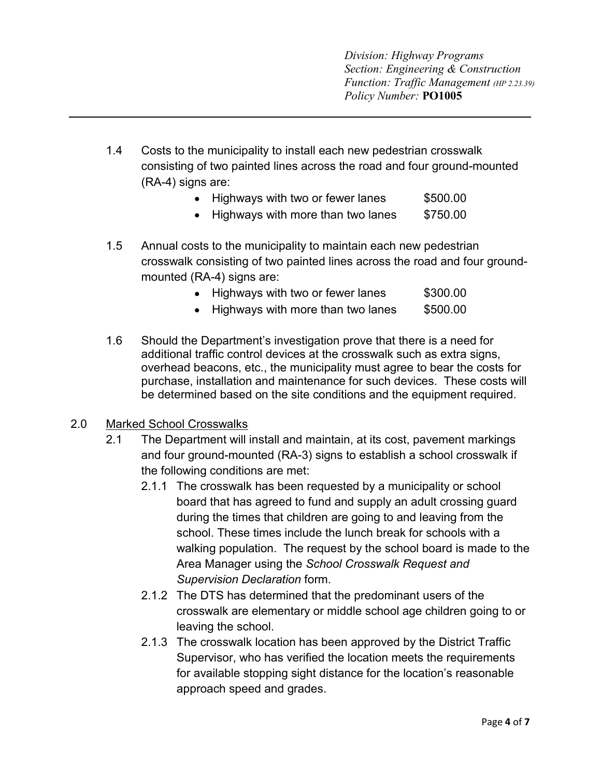*Division: Highway Programs Section: Engineering & Construction Function: Traffic Management (HP 2.23.39) Policy Number:* **PO1005**

- 1.4 Costs to the municipality to install each new pedestrian crosswalk consisting of two painted lines across the road and four ground-mounted (RA-4) signs are:
	- Highways with two or fewer lanes \$500.00
	- Highways with more than two lanes \$750.00
- 1.5 Annual costs to the municipality to maintain each new pedestrian crosswalk consisting of two painted lines across the road and four groundmounted (RA-4) signs are:

|  | Highways with two or fewer lanes |  |  |  |  | \$300.00 |
|--|----------------------------------|--|--|--|--|----------|
|--|----------------------------------|--|--|--|--|----------|

- Highways with more than two lanes \$500.00
- 1.6 Should the Department's investigation prove that there is a need for additional traffic control devices at the crosswalk such as extra signs, overhead beacons, etc., the municipality must agree to bear the costs for purchase, installation and maintenance for such devices. These costs will be determined based on the site conditions and the equipment required.

### 2.0 Marked School Crosswalks

- 2.1 The Department will install and maintain, at its cost, pavement markings and four ground-mounted (RA-3) signs to establish a school crosswalk if the following conditions are met:
	- 2.1.1 The crosswalk has been requested by a municipality or school board that has agreed to fund and supply an adult crossing guard during the times that children are going to and leaving from the school. These times include the lunch break for schools with a walking population. The request by the school board is made to the Area Manager using the *School Crosswalk Request and Supervision Declaration* form.
	- 2.1.2 The DTS has determined that the predominant users of the crosswalk are elementary or middle school age children going to or leaving the school.
	- 2.1.3 The crosswalk location has been approved by the District Traffic Supervisor, who has verified the location meets the requirements for available stopping sight distance for the location's reasonable approach speed and grades.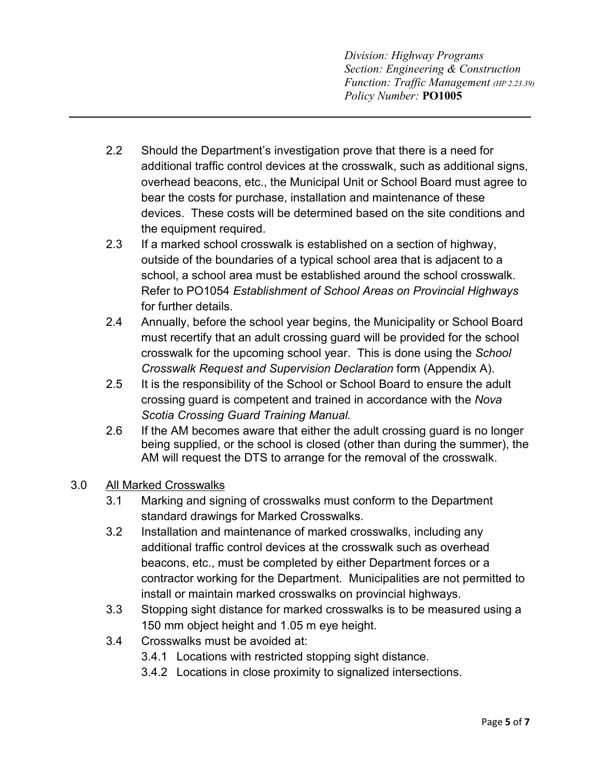*Division: Highway Programs Section: Engineering & Construction Function: Traffic Management (HP 2.23.39) Policy Number:* **PO1005**

- 2.2 Should the Department's investigation prove that there is a need for additional traffic control devices at the crosswalk, such as additional signs, overhead beacons, etc., the Municipal Unit or School Board must agree to bear the costs for purchase, installation and maintenance of these devices. These costs will be determined based on the site conditions and the equipment required.
- 2.3 If a marked school crosswalk is established on a section of highway, outside of the boundaries of a typical school area that is adjacent to a school, a school area must be established around the school crosswalk. Refer to PO1054 *Establishment of School Areas on Provincial Highways* for further details.
- 2.4 Annually, before the school year begins, the Municipality or School Board must recertify that an adult crossing guard will be provided for the school crosswalk for the upcoming school year. This is done using the *School Crosswalk Request and Supervision Declaration* form (Appendix A).
- 2.5 It is the responsibility of the School or School Board to ensure the adult crossing guard is competent and trained in accordance with the *Nova Scotia Crossing Guard Training Manual.*
- 2.6 If the AM becomes aware that either the adult crossing guard is no longer being supplied, or the school is closed (other than during the summer), the AM will request the DTS to arrange for the removal of the crosswalk.

# 3.0 All Marked Crosswalks

- 3.1 Marking and signing of crosswalks must conform to the Department standard drawings for Marked Crosswalks.
- 3.2 Installation and maintenance of marked crosswalks, including any additional traffic control devices at the crosswalk such as overhead beacons, etc., must be completed by either Department forces or a contractor working for the Department. Municipalities are not permitted to install or maintain marked crosswalks on provincial highways.
- 3.3 Stopping sight distance for marked crosswalks is to be measured using a 150 mm object height and 1.05 m eye height.
- 3.4 Crosswalks must be avoided at:
	- 3.4.1 Locations with restricted stopping sight distance.
	- 3.4.2 Locations in close proximity to signalized intersections.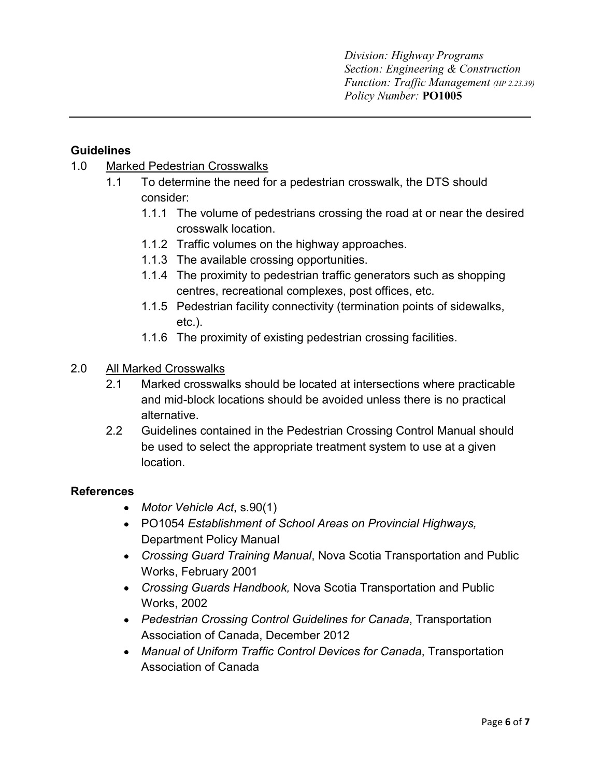# **Guidelines**

# 1.0 Marked Pedestrian Crosswalks

- 1.1 To determine the need for a pedestrian crosswalk, the DTS should consider:
	- 1.1.1 The volume of pedestrians crossing the road at or near the desired crosswalk location.
	- 1.1.2 Traffic volumes on the highway approaches.
	- 1.1.3 The available crossing opportunities.
	- 1.1.4 The proximity to pedestrian traffic generators such as shopping centres, recreational complexes, post offices, etc.
	- 1.1.5 Pedestrian facility connectivity (termination points of sidewalks, etc.).
	- 1.1.6 The proximity of existing pedestrian crossing facilities.
- 2.0 All Marked Crosswalks
	- 2.1 Marked crosswalks should be located at intersections where practicable and mid-block locations should be avoided unless there is no practical alternative.
	- 2.2 Guidelines contained in the Pedestrian Crossing Control Manual should be used to select the appropriate treatment system to use at a given location.

# **References**

- *Motor Vehicle Act*, s.90(1)
- PO1054 *Establishment of School Areas on Provincial Highways,*  Department Policy Manual
- *Crossing Guard Training Manual*, Nova Scotia Transportation and Public Works, February 2001
- *Crossing Guards Handbook,* Nova Scotia Transportation and Public Works, 2002
- *Pedestrian Crossing Control Guidelines for Canada*, Transportation Association of Canada, December 2012
- *Manual of Uniform Traffic Control Devices for Canada*, Transportation Association of Canada